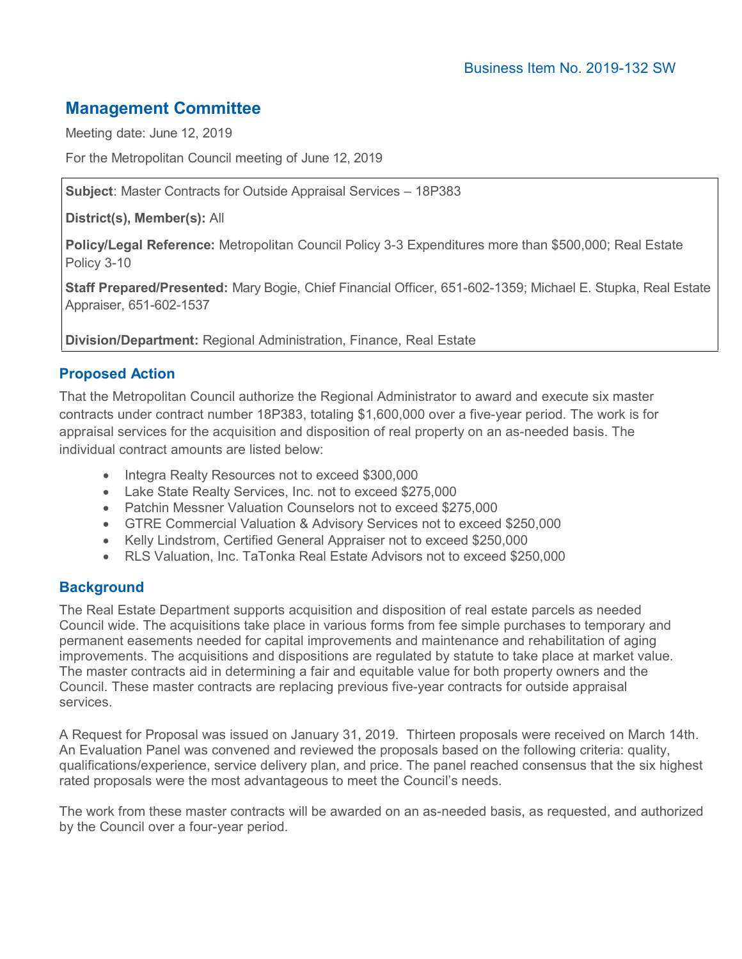# **Management Committee**

Meeting date: June 12, 2019

For the Metropolitan Council meeting of June 12, 2019

#### **Subject**: Master Contracts for Outside Appraisal Services – 18P383

**District(s), Member(s):** All

**Policy/Legal Reference:** Metropolitan Council Policy 3-3 Expenditures more than \$500,000; Real Estate Policy 3-10

**Staff Prepared/Presented:** Mary Bogie, Chief Financial Officer, 651-602-1359; Michael E. Stupka, Real Estate Appraiser, 651-602-1537

**Division/Department:** Regional Administration, Finance, Real Estate

### **Proposed Action**

That the Metropolitan Council authorize the Regional Administrator to award and execute six master contracts under contract number 18P383, totaling \$1,600,000 over a five-year period. The work is for appraisal services for the acquisition and disposition of real property on an as-needed basis. The individual contract amounts are listed below:

- Integra Realty Resources not to exceed \$300,000
- Lake State Realty Services, Inc. not to exceed \$275,000
- Patchin Messner Valuation Counselors not to exceed \$275,000
- GTRE Commercial Valuation & Advisory Services not to exceed \$250,000
- Kelly Lindstrom, Certified General Appraiser not to exceed \$250,000
- RLS Valuation, Inc. TaTonka Real Estate Advisors not to exceed \$250,000

### **Background**

The Real Estate Department supports acquisition and disposition of real estate parcels as needed Council wide. The acquisitions take place in various forms from fee simple purchases to temporary and permanent easements needed for capital improvements and maintenance and rehabilitation of aging improvements. The acquisitions and dispositions are regulated by statute to take place at market value. The master contracts aid in determining a fair and equitable value for both property owners and the Council. These master contracts are replacing previous five-year contracts for outside appraisal services.

A Request for Proposal was issued on January 31, 2019. Thirteen proposals were received on March 14th. An Evaluation Panel was convened and reviewed the proposals based on the following criteria: quality, qualifications/experience, service delivery plan, and price. The panel reached consensus that the six highest rated proposals were the most advantageous to meet the Council's needs.

The work from these master contracts will be awarded on an as-needed basis, as requested, and authorized by the Council over a four-year period.